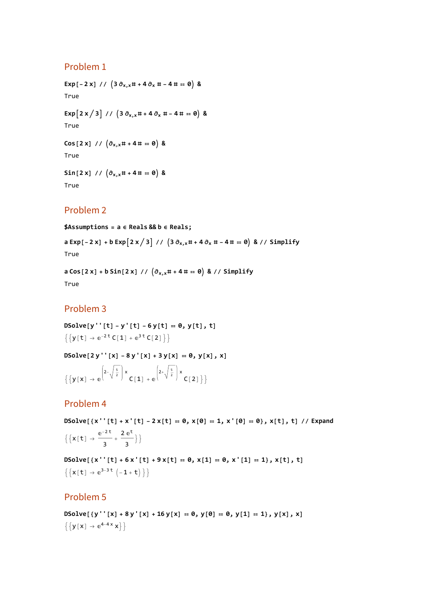#### Problem 1

**Exp**[ $-2x$ ] //  $(3 \partial_{x,x} # + 4 \partial_x # - 4 # = 0)$  & True **Exp** $\left[2 \times /3\right]$  //  $\left(3 \partial_{x,x} \# + 4 \partial_x \# -4 \# = 0\right)$  & True  $\cos [2 \times]$  //  $\left(\partial_{x,x} \# + 4 \# = 0\right)$  & True  $\sin[2x]/\left(\partial_{x,x} + 4 + 4\right) = 0$  &

True

### Problem 2

**\$Assumptions = a ∈ Reals && b ∈ Reals;**

a Exp [-2 x] + b Exp  $\left[2 \times /3\right]$  //  $\left(3 \frac{\partial x}{\partial x} + 4 \frac{\partial x}{\partial x} + -4 + \cdots \right)$  & // Simplify True

**a Cos[2 x] + b Sin[2 x] // ∂x,x# + 4 # ⩵ 0 & // Simplify** True

## Problem 3

**DSolve[y''[t] - y'[t] - 6 y[t] ⩵ 0, y[t], t]**  $\{y[t] \to e^{-2t} C[1] + e^{3t} C[2]\}$ 

**DSolve[2 y''[x] - 8 y'[x] + 3 y[x] ⩵ 0, y[x], x]**  $\{y[x] \rightarrow e$  $2-\sqrt{\frac{5}{2}}$  x<br>C[1] + e  $2+\sqrt{\frac{5}{2}}$  x<br>C[2] } }

## Problem 4

DSolve[{x''[t] + x'[t] - 2 x[t] = 0, x[0] = 1, x'[0] = 0}, x[t], t] // Expand  ${x[t] \to \frac{e^{-2t}}{3} + \frac{2 e^{t}}{3}}$ 

DSolve[{x''[t] +6x'[t] +9x[t] = 0, x[1] = 0, x'[1] = 1}, x[t], t]  $\left\{ \left\{ x\left[\left. t\right]\right.\right.\right.\right. \rightarrow \mathbb{e}^{3-3\;t}\left(-1+t\right)\left.\right\} \right\}$ 

#### Problem 5

DSolve  $[y''[x] + 8y'[x] + 16y[x] = 0, y[0] = 0, y[1] = 1, y[x], x]$  $\left\{ \left\{ y\left[ x\right] \right. \rightarrow \mathrm{e}^{4-4\,x}\,x\right\} \right\}$